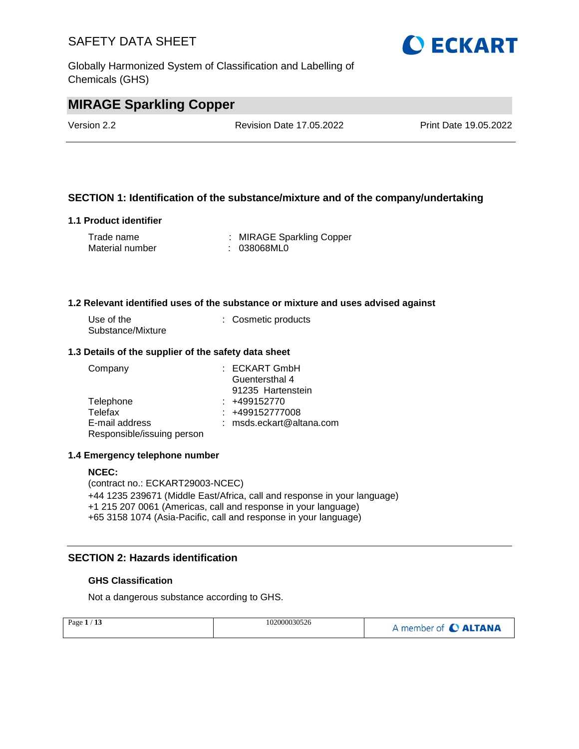Globally Harmonized System of Classification and Labelling of Chemicals (GHS)



# **MIRAGE Sparkling Copper**

Version 2.2 Revision Date 17.05.2022 Print Date 19.05.2022

#### **SECTION 1: Identification of the substance/mixture and of the company/undertaking**

#### **1.1 Product identifier**

| Trade name      | : MIRAGE Sparkling Copper |
|-----------------|---------------------------|
| Material number | : 038068ML0               |

#### **1.2 Relevant identified uses of the substance or mixture and uses advised against**

| Use of the        | : Cosmetic products |
|-------------------|---------------------|
| Substance/Mixture |                     |

#### **1.3 Details of the supplier of the safety data sheet**

| Company                    | $:$ ECKART GmbH            |
|----------------------------|----------------------------|
|                            | Guentersthal 4             |
|                            | 91235 Hartenstein          |
| Telephone                  | $: +499152770$             |
| Telefax                    | $: +499152777008$          |
| E-mail address             | $:$ msds.eckart@altana.com |
| Responsible/issuing person |                            |

#### **1.4 Emergency telephone number**

#### **NCEC:**

(contract no.: ECKART29003-NCEC) +44 1235 239671 (Middle East/Africa, call and response in your language) +1 215 207 0061 (Americas, call and response in your language) +65 3158 1074 (Asia-Pacific, call and response in your language)

#### **SECTION 2: Hazards identification**

#### **GHS Classification**

Not a dangerous substance according to GHS.

| Page $1/13$ | 102000030526 | A member of C ALTANA |
|-------------|--------------|----------------------|
|             |              |                      |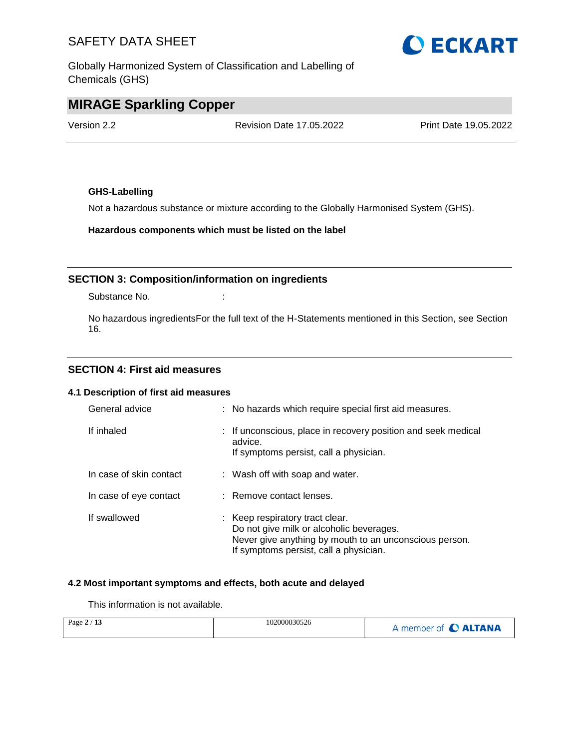Globally Harmonized System of Classification and Labelling of Chemicals (GHS)

# **MIRAGE Sparkling Copper**

Version 2.2 Revision Date 17.05.2022 Print Date 19.05.2022

#### **GHS-Labelling**

Not a hazardous substance or mixture according to the Globally Harmonised System (GHS).

**Hazardous components which must be listed on the label**

#### **SECTION 3: Composition/information on ingredients**

Substance No. **:**  $\qquad \qquad$  :

No hazardous ingredientsFor the full text of the H-Statements mentioned in this Section, see Section 16.

#### **SECTION 4: First aid measures**

#### **4.1 Description of first aid measures**

| General advice          | : No hazards which require special first aid measures.                                                                                                                          |
|-------------------------|---------------------------------------------------------------------------------------------------------------------------------------------------------------------------------|
| If inhaled              | : If unconscious, place in recovery position and seek medical<br>advice.<br>If symptoms persist, call a physician.                                                              |
| In case of skin contact | : Wash off with soap and water.                                                                                                                                                 |
| In case of eye contact  | : Remove contact lenses.                                                                                                                                                        |
| If swallowed            | : Keep respiratory tract clear.<br>Do not give milk or alcoholic beverages.<br>Never give anything by mouth to an unconscious person.<br>If symptoms persist, call a physician. |

#### **4.2 Most important symptoms and effects, both acute and delayed**

This information is not available.

| Page $2/13$ | 102000030526 | A member of C ALTANA |
|-------------|--------------|----------------------|
|-------------|--------------|----------------------|

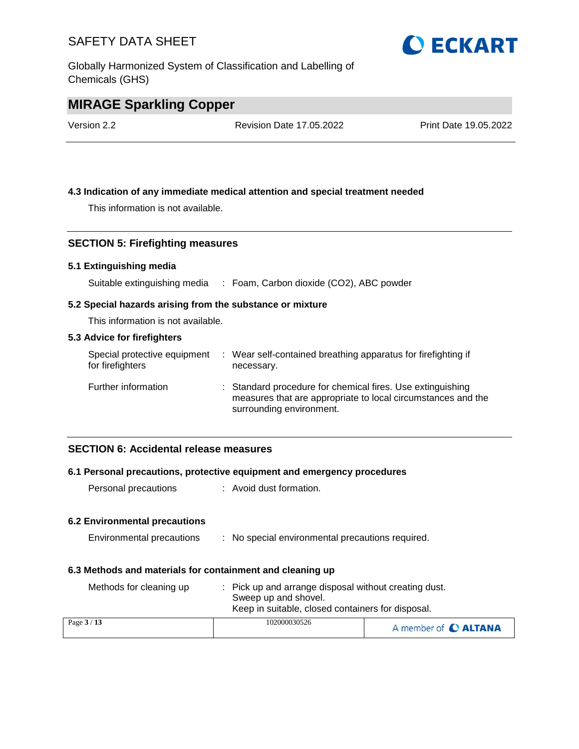Globally Harmonized System of Classification and Labelling of Chemicals (GHS)



### **MIRAGE Sparkling Copper**

Version 2.2 Revision Date 17.05.2022 Print Date 19.05.2022

#### **4.3 Indication of any immediate medical attention and special treatment needed**

This information is not available.

#### **SECTION 5: Firefighting measures**

#### **5.1 Extinguishing media**

Suitable extinguishing media : Foam, Carbon dioxide (CO2), ABC powder

#### **5.2 Special hazards arising from the substance or mixture**

This information is not available.

#### **5.3 Advice for firefighters**

| Special protective equipment<br>for firefighters | : Wear self-contained breathing apparatus for firefighting if<br>necessary.                                                                            |
|--------------------------------------------------|--------------------------------------------------------------------------------------------------------------------------------------------------------|
| Further information                              | : Standard procedure for chemical fires. Use extinguishing<br>measures that are appropriate to local circumstances and the<br>surrounding environment. |

#### **SECTION 6: Accidental release measures**

#### **6.1 Personal precautions, protective equipment and emergency procedures**

Personal precautions : Avoid dust formation.

#### **6.2 Environmental precautions**

| Environmental precautions |  |  | No special environmental precautions required. |  |  |
|---------------------------|--|--|------------------------------------------------|--|--|
|---------------------------|--|--|------------------------------------------------|--|--|

#### **6.3 Methods and materials for containment and cleaning up**

| Methods for cleaning up | : Pick up and arrange disposal without creating dust.<br>Sweep up and shovel.<br>Keep in suitable, closed containers for disposal. |                      |
|-------------------------|------------------------------------------------------------------------------------------------------------------------------------|----------------------|
| Page $3/13$             | 102000030526                                                                                                                       | A member of C ALTANA |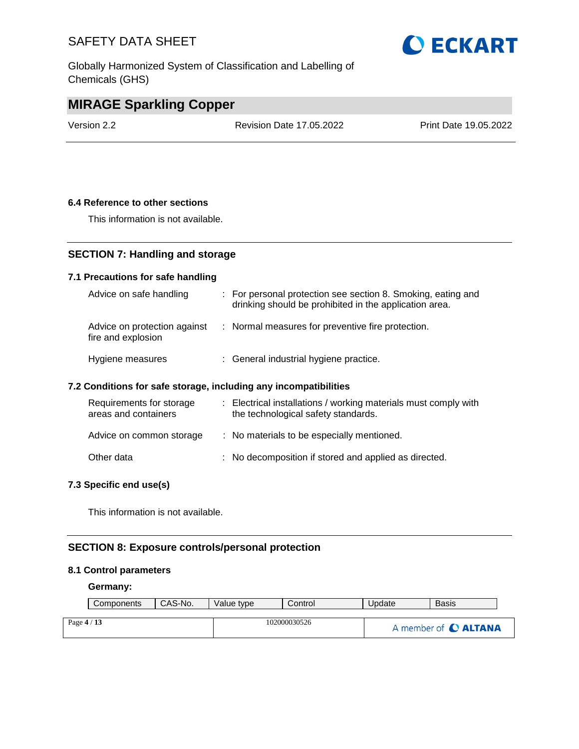Globally Harmonized System of Classification and Labelling of Chemicals (GHS)



### **MIRAGE Sparkling Copper**

Version 2.2 Revision Date 17.05.2022 Print Date 19.05.2022

#### **6.4 Reference to other sections**

This information is not available.

#### **SECTION 7: Handling and storage**

#### **7.1 Precautions for safe handling**

| Advice on safe handling                            | : For personal protection see section 8. Smoking, eating and<br>drinking should be prohibited in the application area. |
|----------------------------------------------------|------------------------------------------------------------------------------------------------------------------------|
| Advice on protection against<br>fire and explosion | : Normal measures for preventive fire protection.                                                                      |
| Hygiene measures                                   | : General industrial hygiene practice.                                                                                 |

#### **7.2 Conditions for safe storage, including any incompatibilities**

| Requirements for storage<br>areas and containers | : Electrical installations / working materials must comply with<br>the technological safety standards. |
|--------------------------------------------------|--------------------------------------------------------------------------------------------------------|
| Advice on common storage                         | : No materials to be especially mentioned.                                                             |
| Other data                                       | : No decomposition if stored and applied as directed.                                                  |

#### **7.3 Specific end use(s)**

This information is not available.

#### **SECTION 8: Exposure controls/personal protection**

#### **8.1 Control parameters**

#### **Germany:**

| Components  | CAS-No. | Value type   | Control | Update | Basis                |
|-------------|---------|--------------|---------|--------|----------------------|
|             |         |              |         |        |                      |
| Page $4/13$ |         | 102000030526 |         |        | A member of C ALTANA |
|             |         |              |         |        |                      |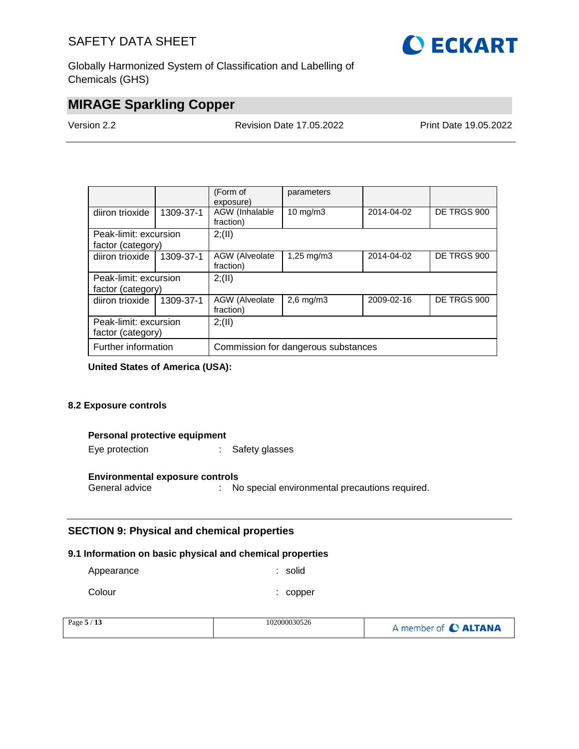

Globally Harmonized System of Classification and Labelling of Chemicals (GHS)

### **MIRAGE Sparkling Copper**

Version 2.2 Revision Date 17.05.2022 Print Date 19.05.2022

|                                            |           | (Form of<br>exposure)               | parameters              |            |             |  |
|--------------------------------------------|-----------|-------------------------------------|-------------------------|------------|-------------|--|
| diiron trioxide                            | 1309-37-1 | AGW (Inhalable<br>fraction)         | $10 \text{ mg/m}$       | 2014-04-02 | DE TRGS 900 |  |
| Peak-limit: excursion                      |           | 2; (II)                             |                         |            |             |  |
| factor (category)                          |           |                                     |                         |            |             |  |
| diiron trioxide                            | 1309-37-1 | AGW (Alveolate<br>fraction)         | $1,25 \,\mathrm{mq/m3}$ | 2014-04-02 | DE TRGS 900 |  |
| Peak-limit: excursion<br>factor (category) |           | 2; (II)                             |                         |            |             |  |
| diiron trioxide                            | 1309-37-1 | AGW (Alveolate<br>fraction)         | $2,6$ mg/m $3$          | 2009-02-16 | DE TRGS 900 |  |
| Peak-limit: excursion<br>factor (category) |           | 2; (II)                             |                         |            |             |  |
| Further information                        |           | Commission for dangerous substances |                         |            |             |  |

**United States of America (USA):**

#### **8.2 Exposure controls**

#### **Personal protective equipment**

Eye protection : Safety glasses

#### **Environmental exposure controls**

General advice : No special environmental precautions required.

#### **SECTION 9: Physical and chemical properties**

#### **9.1 Information on basic physical and chemical properties**

| Appearance | : solid  |
|------------|----------|
| Colour     | : copper |

| Page 5<br>$-$<br>- 15 | 102000030526 | member of C ALTANA |
|-----------------------|--------------|--------------------|
|-----------------------|--------------|--------------------|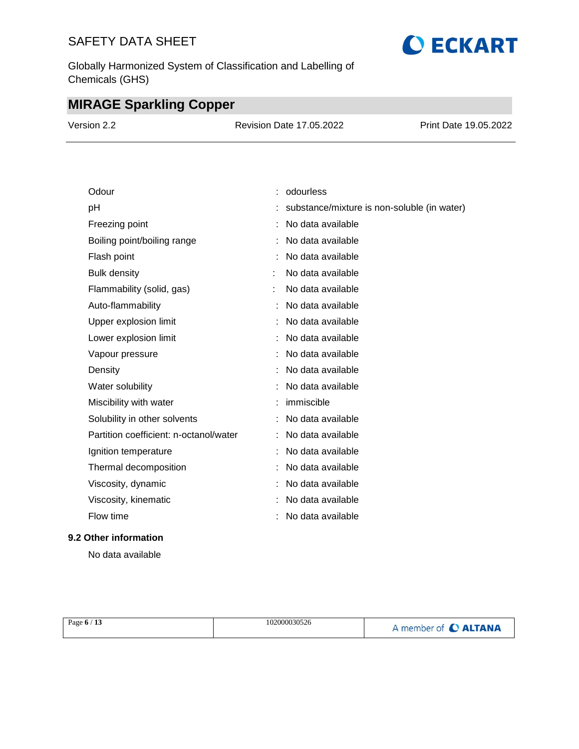Globally Harmonized System of Classification and Labelling of Chemicals (GHS)

# **MIRAGE Sparkling Copper**

| Version 2.2 | Revision Date 17.05.2022 | <b>Print Date 19.05.2022</b> |
|-------------|--------------------------|------------------------------|
|             |                          |                              |

| Odour                                  | odourless                                   |
|----------------------------------------|---------------------------------------------|
| pH                                     | substance/mixture is non-soluble (in water) |
| Freezing point                         | No data available                           |
| Boiling point/boiling range            | No data available                           |
| Flash point                            | No data available                           |
| <b>Bulk density</b>                    | No data available                           |
| Flammability (solid, gas)              | No data available                           |
| Auto-flammability                      | No data available                           |
| Upper explosion limit                  | No data available                           |
| Lower explosion limit                  | No data available                           |
| Vapour pressure                        | No data available                           |
| Density                                | No data available                           |
| Water solubility                       | No data available                           |
| Miscibility with water                 | immiscible                                  |
| Solubility in other solvents           | No data available                           |
| Partition coefficient: n-octanol/water | No data available                           |
| Ignition temperature                   | No data available                           |
| Thermal decomposition                  | No data available                           |
| Viscosity, dynamic                     | No data available                           |
| Viscosity, kinematic                   | No data available                           |
| Flow time                              | No data available                           |

#### **9.2 Other information**

No data available

| Page $6/13$ | 102000030526 | A member of C ALTANA |
|-------------|--------------|----------------------|
|-------------|--------------|----------------------|

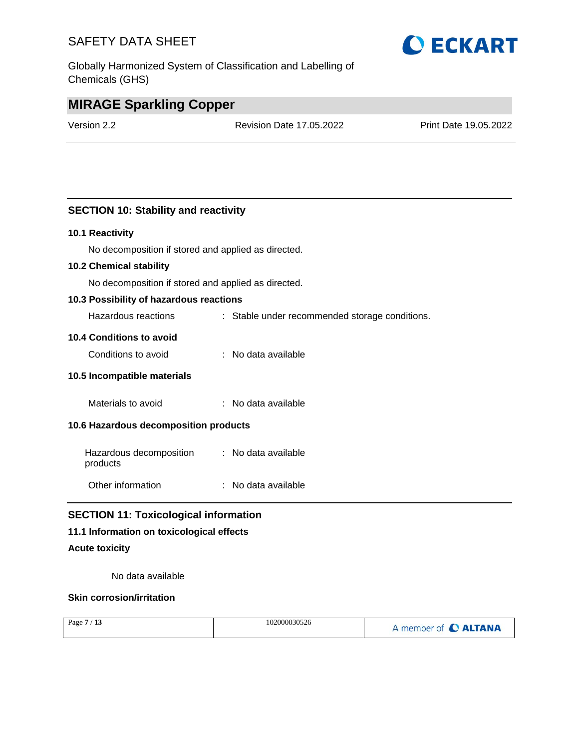Globally Harmonized System of Classification and Labelling of Chemicals (GHS)

# **O ECKART**

### **MIRAGE Sparkling Copper**

Version 2.2 Revision Date 17.05.2022 Print Date 19.05.2022

#### **SECTION 10: Stability and reactivity**

#### **10.1 Reactivity**

No decomposition if stored and applied as directed.

#### **10.2 Chemical stability**

No decomposition if stored and applied as directed.

#### **10.3 Possibility of hazardous reactions**

Hazardous reactions : Stable under recommended storage conditions.

#### **10.4 Conditions to avoid**

| Conditions to avoid | No data available |
|---------------------|-------------------|
|---------------------|-------------------|

#### **10.5 Incompatible materials**

Materials to avoid : No data available

#### **10.6 Hazardous decomposition products**

| Hazardous decomposition | : No data available |
|-------------------------|---------------------|
| products                |                     |

Other information : No data available

#### **SECTION 11: Toxicological information**

#### **11.1 Information on toxicological effects**

#### **Acute toxicity**

No data available

#### **Skin corrosion/irritation**

| Page $7/13$ | 102000030526 | A member of C ALTANA |
|-------------|--------------|----------------------|
|             |              |                      |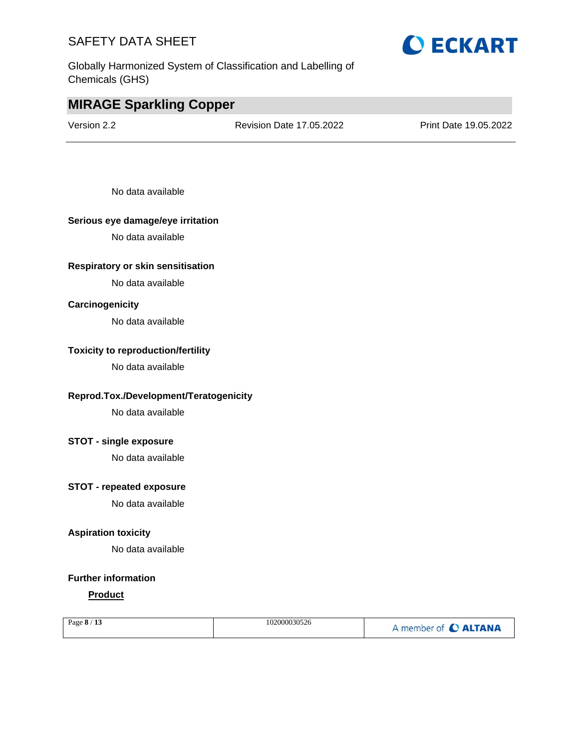Globally Harmonized System of Classification and Labelling of Chemicals (GHS)

### **MIRAGE Sparkling Copper**

Version 2.2 Revision Date 17.05.2022 Print Date 19.05.2022

No data available

#### **Serious eye damage/eye irritation**

No data available

#### **Respiratory or skin sensitisation**

No data available

#### **Carcinogenicity**

No data available

#### **Toxicity to reproduction/fertility**

No data available

#### **Reprod.Tox./Development/Teratogenicity**

No data available

#### **STOT - single exposure**

No data available

#### **STOT - repeated exposure**

No data available

#### **Aspiration toxicity**

No data available

#### **Further information**

#### **Product**

| Page $8/13$ | 102000030526 | A member of C ALTANA |
|-------------|--------------|----------------------|
|             |              |                      |

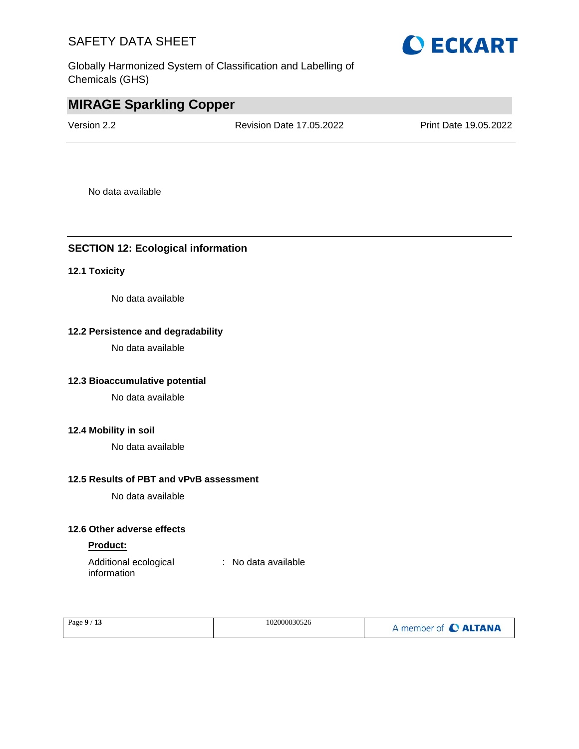Globally Harmonized System of Classification and Labelling of Chemicals (GHS)



Version 2.2 Revision Date 17.05.2022 Print Date 19.05.2022

**O ECKART** 

No data available

#### **SECTION 12: Ecological information**

#### **12.1 Toxicity**

No data available

#### **12.2 Persistence and degradability**

No data available

#### **12.3 Bioaccumulative potential**

No data available

#### **12.4 Mobility in soil**

No data available

#### **12.5 Results of PBT and vPvB assessment**

No data available

#### **12.6 Other adverse effects**

#### **Product:**

Additional ecological information : No data available

| Page $9/13$ | 102000030526 | A member of C ALTANA |
|-------------|--------------|----------------------|
|             |              |                      |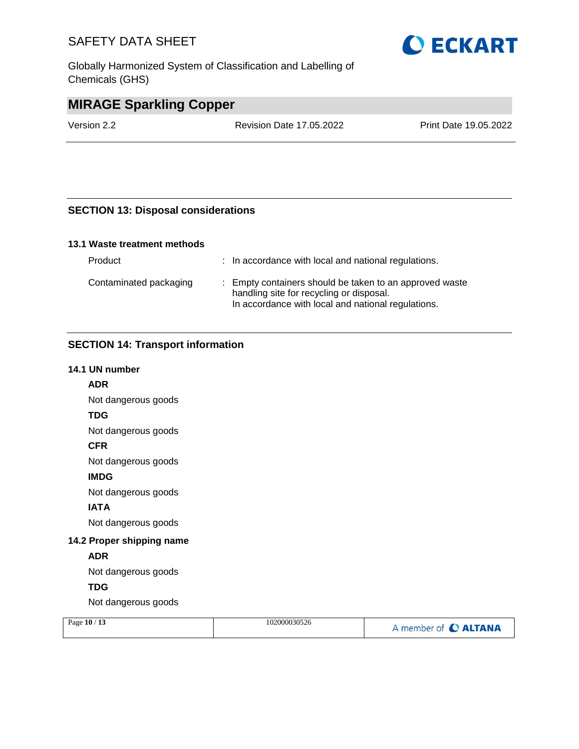Globally Harmonized System of Classification and Labelling of Chemicals (GHS)



### **MIRAGE Sparkling Copper**

Version 2.2 Revision Date 17.05.2022 Print Date 19.05.2022

#### **SECTION 13: Disposal considerations**

#### **13.1 Waste treatment methods**

| Product                | : In accordance with local and national regulations.                                                                                                      |
|------------------------|-----------------------------------------------------------------------------------------------------------------------------------------------------------|
| Contaminated packaging | : Empty containers should be taken to an approved waste<br>handling site for recycling or disposal.<br>In accordance with local and national regulations. |

#### **SECTION 14: Transport information**

#### **14.1 UN number**

**ADR** Not dangerous goods

**TDG**

Not dangerous goods

#### **CFR**

Not dangerous goods

#### **IMDG**

Not dangerous goods

#### **IATA**

Not dangerous goods

#### **14.2 Proper shipping name**

#### **ADR**

Not dangerous goods

### **TDG**

Not dangerous goods

| Page 10 / 13 | 102000030526 | A member of C ALTANA |
|--------------|--------------|----------------------|
|              |              |                      |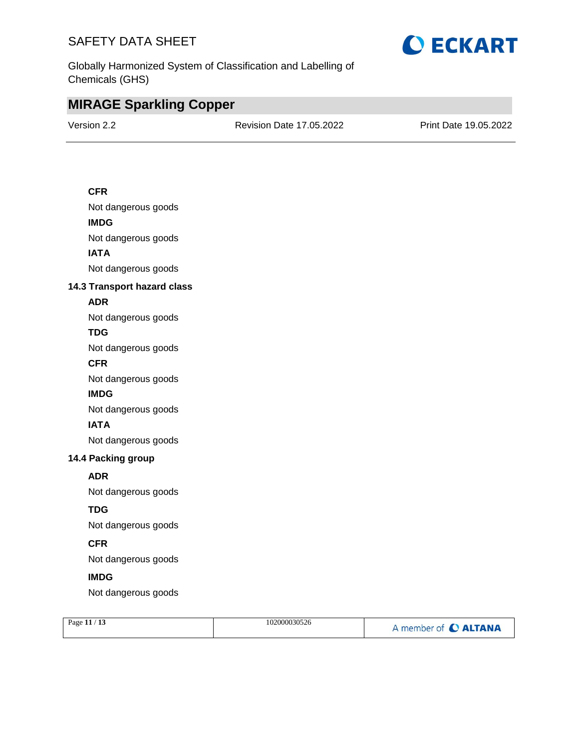

Globally Harmonized System of Classification and Labelling of Chemicals (GHS)

### **MIRAGE Sparkling Copper**

Version 2.2 Revision Date 17.05.2022 Print Date 19.05.2022

#### **CFR**

Not dangerous goods **IMDG**

Not dangerous goods

**IATA**

Not dangerous goods

#### **14.3 Transport hazard class**

#### **ADR**

Not dangerous goods

#### **TDG**

Not dangerous goods

#### **CFR**

Not dangerous goods

#### **IMDG**

Not dangerous goods

#### **IATA**

Not dangerous goods

#### **14.4 Packing group**

#### **ADR**

Not dangerous goods

#### **TDG**

Not dangerous goods

#### **CFR**

Not dangerous goods

#### **IMDG**

Not dangerous goods

| Page 11 / 13 | 102000030526 | A member of C ALTANA |
|--------------|--------------|----------------------|
|              |              |                      |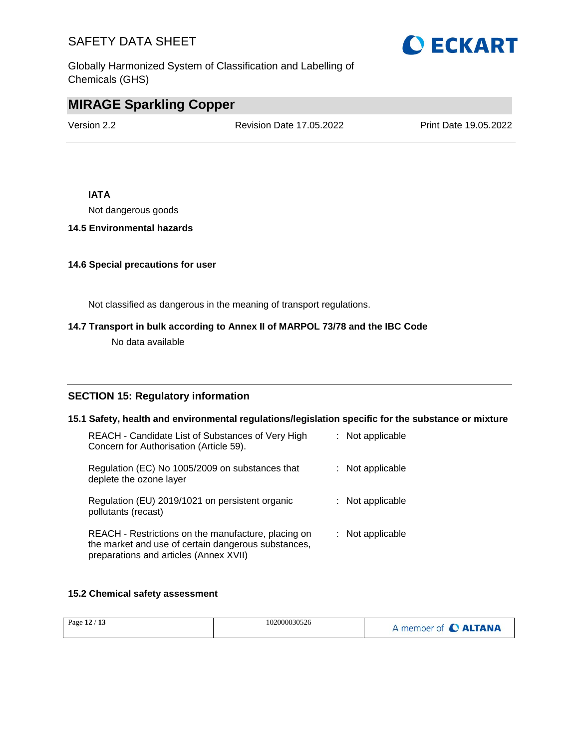Globally Harmonized System of Classification and Labelling of Chemicals (GHS)

# **MIRAGE Sparkling Copper**

Version 2.2 Revision Date 17.05.2022 Print Date 19.05.2022

#### **IATA**

Not dangerous goods

#### **14.5 Environmental hazards**

#### **14.6 Special precautions for user**

Not classified as dangerous in the meaning of transport regulations.

#### **14.7 Transport in bulk according to Annex II of MARPOL 73/78 and the IBC Code**

No data available

#### **SECTION 15: Regulatory information**

**15.1 Safety, health and environmental regulations/legislation specific for the substance or mixture** REACH - Candidate List of Substances of Very High Concern for Authorisation (Article 59). : Not applicable Regulation (EC) No 1005/2009 on substances that deplete the ozone layer : Not applicable Regulation (EU) 2019/1021 on persistent organic pollutants (recast) : Not applicable REACH - Restrictions on the manufacture, placing on the market and use of certain dangerous substances, preparations and articles (Annex XVII) : Not applicable

#### **15.2 Chemical safety assessment**

|  | Page 12 / 13 | 102000030526 | A member of C ALTANA |
|--|--------------|--------------|----------------------|
|--|--------------|--------------|----------------------|